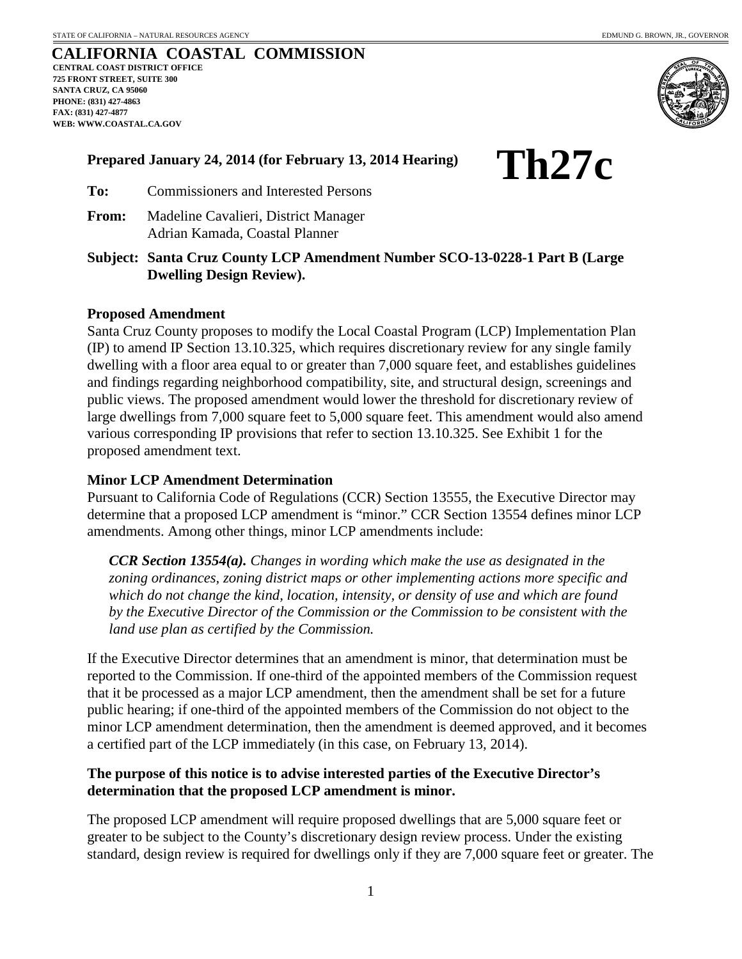**Th27c**

#### **CALIFORNIA COASTAL COMMISSION CENTRAL COAST DISTRICT OFFICE 725 FRONT STREET, SUITE 300 SANTA CRUZ, CA 95060 PHONE: (831) 427-4863 FAX: (831) 427-4877 WEB: WWW.COASTAL.CA.GOV**



# **Prepared January 24, 2014 (for February 13, 2014 Hearing)**



**From:** Madeline Cavalieri, District Manager Adrian Kamada, Coastal Planner

**Subject: Santa Cruz County LCP Amendment Number SCO-13-0228-1 Part B (Large Dwelling Design Review).**

# **Proposed Amendment**

Santa Cruz County proposes to modify the Local Coastal Program (LCP) Implementation Plan (IP) to amend IP Section 13.10.325, which requires discretionary review for any single family dwelling with a floor area equal to or greater than 7,000 square feet, and establishes guidelines and findings regarding neighborhood compatibility, site, and structural design, screenings and public views. The proposed amendment would lower the threshold for discretionary review of large dwellings from 7,000 square feet to 5,000 square feet. This amendment would also amend various corresponding IP provisions that refer to section 13.10.325. See Exhibit 1 for the proposed amendment text.

# **Minor LCP Amendment Determination**

Pursuant to California Code of Regulations (CCR) Section 13555, the Executive Director may determine that a proposed LCP amendment is "minor." CCR Section 13554 defines minor LCP amendments. Among other things, minor LCP amendments include:

*CCR Section 13554(a). Changes in wording which make the use as designated in the zoning ordinances, zoning district maps or other implementing actions more specific and which do not change the kind, location, intensity, or density of use and which are found by the Executive Director of the Commission or the Commission to be consistent with the land use plan as certified by the Commission.*

If the Executive Director determines that an amendment is minor, that determination must be reported to the Commission. If one-third of the appointed members of the Commission request that it be processed as a major LCP amendment, then the amendment shall be set for a future public hearing; if one-third of the appointed members of the Commission do not object to the minor LCP amendment determination, then the amendment is deemed approved, and it becomes a certified part of the LCP immediately (in this case, on February 13, 2014).

# **The purpose of this notice is to advise interested parties of the Executive Director's determination that the proposed LCP amendment is minor.**

The proposed LCP amendment will require proposed dwellings that are 5,000 square feet or greater to be subject to the County's discretionary design review process. Under the existing standard, design review is required for dwellings only if they are 7,000 square feet or greater. The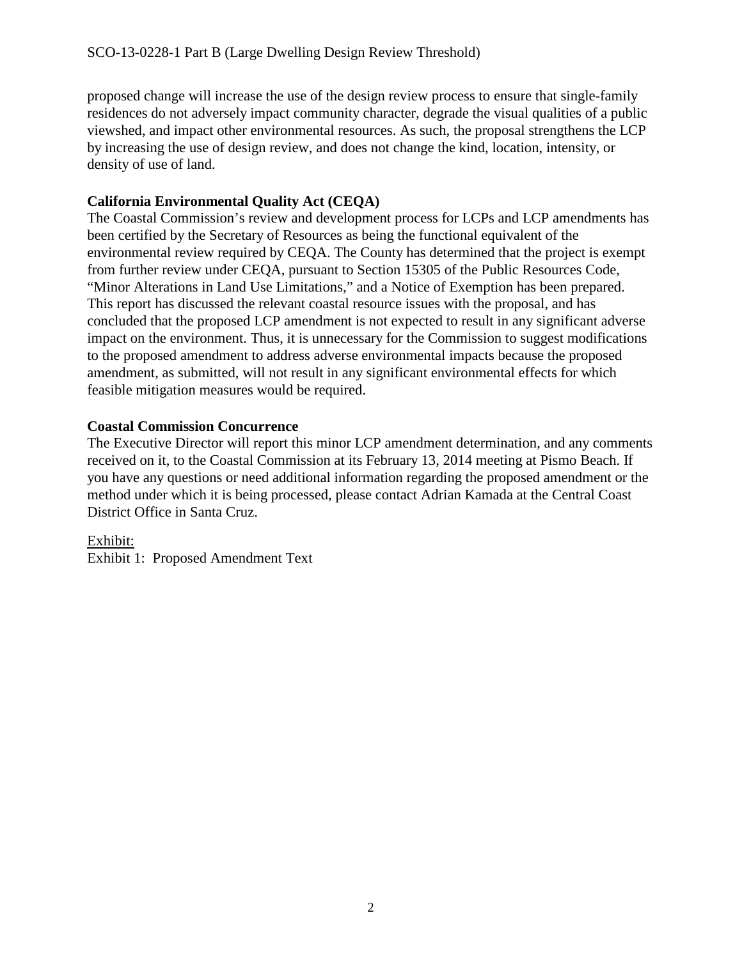proposed change will increase the use of the design review process to ensure that single-family residences do not adversely impact community character, degrade the visual qualities of a public viewshed, and impact other environmental resources. As such, the proposal strengthens the LCP by increasing the use of design review, and does not change the kind, location, intensity, or density of use of land.

# **California Environmental Quality Act (CEQA)**

The Coastal Commission's review and development process for LCPs and LCP amendments has been certified by the Secretary of Resources as being the functional equivalent of the environmental review required by CEQA. The County has determined that the project is exempt from further review under CEQA, pursuant to Section 15305 of the Public Resources Code, "Minor Alterations in Land Use Limitations," and a Notice of Exemption has been prepared. This report has discussed the relevant coastal resource issues with the proposal, and has concluded that the proposed LCP amendment is not expected to result in any significant adverse impact on the environment. Thus, it is unnecessary for the Commission to suggest modifications to the proposed amendment to address adverse environmental impacts because the proposed amendment, as submitted, will not result in any significant environmental effects for which feasible mitigation measures would be required.

# **Coastal Commission Concurrence**

The Executive Director will report this minor LCP amendment determination, and any comments received on it, to the Coastal Commission at its February 13, 2014 meeting at Pismo Beach. If you have any questions or need additional information regarding the proposed amendment or the method under which it is being processed, please contact Adrian Kamada at the Central Coast District Office in Santa Cruz.

Exhibit: Exhibit 1: Proposed Amendment Text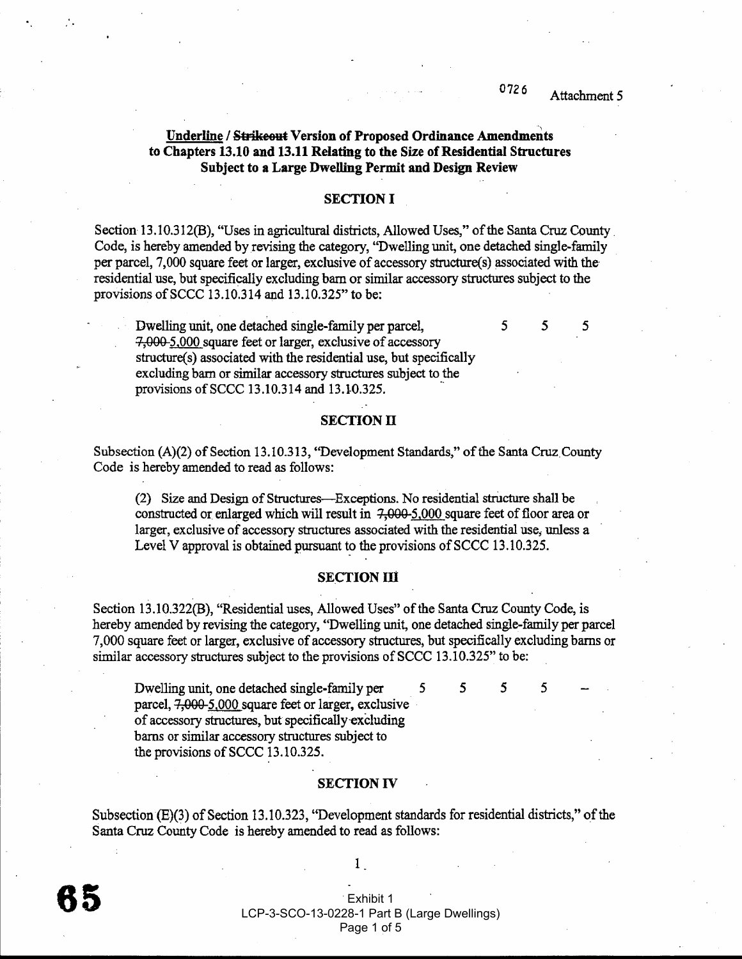#### 0726 Attachment 5

5

5

5

5

5

5

### Underline / Strikeout Version of Proposed Ordinance Amendments to Chapters 13.10 and 13.11 Relating to the Size of Residential Structures Subject to a Large Dwelling Permit and Design Review

### **SECTION I**

Section 13.10.312(B), "Uses in agricultural districts, Allowed Uses," of the Santa Cruz County Code, is hereby amended by revising the category, "Dwelling unit, one detached single-family per parcel, 7,000 square feet or larger, exclusive of accessory structure(s) associated with the residential use, but specifically excluding barn or similar accessory structures subject to the provisions of SCCC 13.10.314 and 13.10.325" to be:

Dwelling unit, one detached single-family per parcel, 7,000 5,000 square feet or larger, exclusive of accessory structure(s) associated with the residential use, but specifically excluding barn or similar accessory structures subject to the provisions of SCCC 13.10.314 and 13.10.325.

#### **SECTION II**

Subsection (A)(2) of Section 13.10.313, "Development Standards," of the Santa Cruz County Code is hereby amended to read as follows:

(2) Size and Design of Structures—Exceptions. No residential structure shall be constructed or enlarged which will result in 7,000-5,000 square feet of floor area or larger, exclusive of accessory structures associated with the residential use, unless a Level V approval is obtained pursuant to the provisions of SCCC 13.10.325.

#### **SECTION III**

Section 13.10.322(B), "Residential uses, Allowed Uses" of the Santa Cruz County Code, is hereby amended by revising the category, "Dwelling unit, one detached single-family per parcel 7,000 square feet or larger, exclusive of accessory structures, but specifically excluding barns or similar accessory structures subject to the provisions of SCCC 13.10.325" to be:

Dwelling unit, one detached single-family per parcel, 7,000-5,000 square feet or larger, exclusive of accessory structures, but specifically excluding barns or similar accessory structures subject to the provisions of SCCC 13.10.325.

#### **SECTION IV**

Subsection (E)(3) of Section 13.10.323, "Development standards for residential districts," of the Santa Cruz County Code is hereby amended to read as follows:

Exhibit 1 LCP-3-SCO-13-0228-1 Part B (Large Dwellings) Page 1 of 5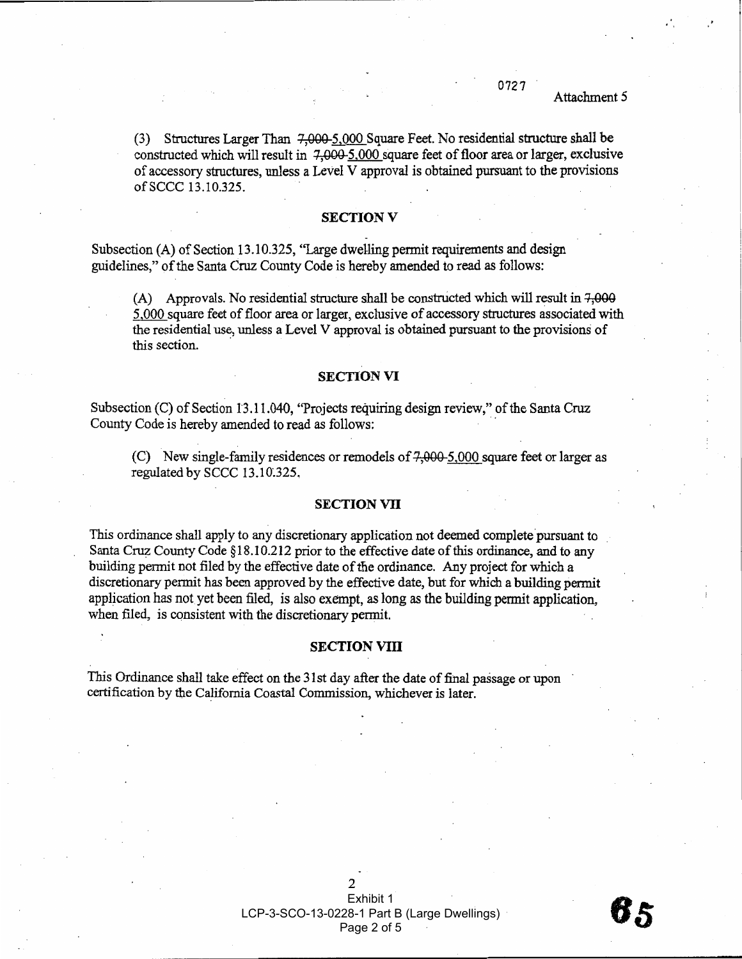#### 0727 Attachment 5

(3) Structures Larger Than 7,000-5,000 Square Feet. No residential structure shall be constructed which will result in 7,000-5,000 square feet of floor area or larger, exclusive of accessory structures, unless a Level V approval is obtained pursuant to the provisions of SCCC 13.10.325.

#### **SECTION V**

Subsection (A) of Section 13.10.325, "Large dwelling permit requirements and design guidelines," of the Santa Cruz County Code is hereby amended to read as follows:

(A) Approvals. No residential structure shall be constructed which will result in 7.000 5,000 square feet of floor area or larger, exclusive of accessory structures associated with the residential use, unless a Level V approval is obtained pursuant to the provisions of this section.

### **SECTION VI**

Subsection (C) of Section 13.11.040, "Projects requiring design review," of the Santa Cruz County Code is hereby amended to read as follows:

(C) New single-family residences or remodels of  $7,000-5,000$  square feet or larger as regulated by SCCC 13.10.325.

### **SECTION VII**

This ordinance shall apply to any discretionary application not deemed complete pursuant to Santa Cruz County Code §18.10.212 prior to the effective date of this ordinance, and to any building permit not filed by the effective date of the ordinance. Any project for which a discretionary permit has been approved by the effective date, but for which a building permit application has not yet been filed, is also exempt, as long as the building permit application, when filed, is consistent with the discretionary permit.

#### **SECTION VIII**

This Ordinance shall take effect on the 31st day after the date of final passage or upon certification by the California Coastal Commission, whichever is later.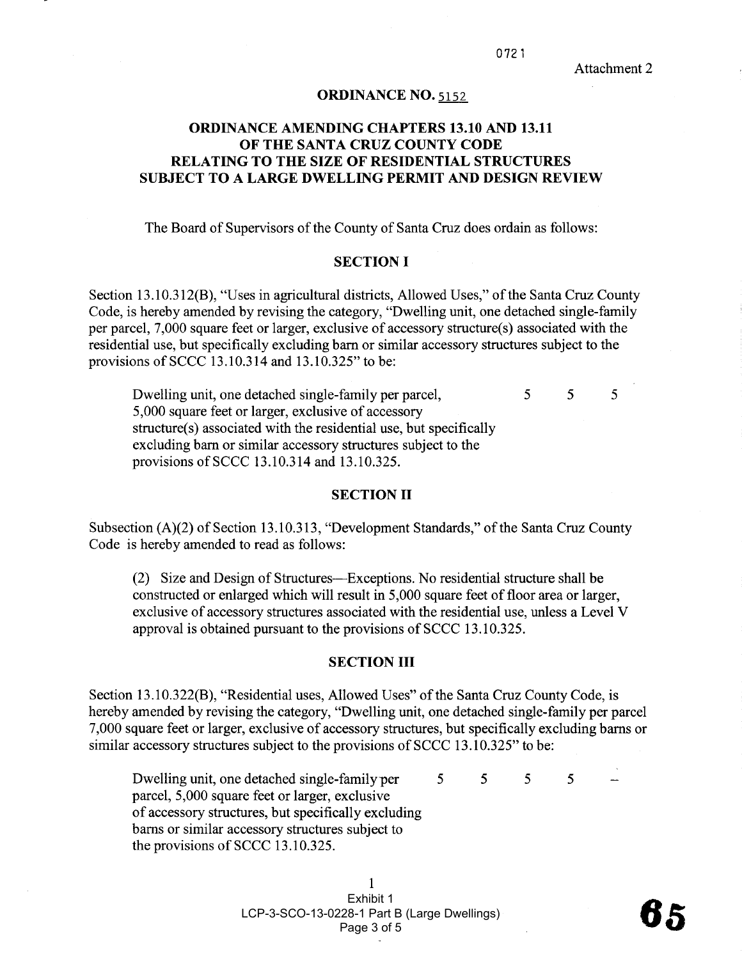#### ORDINANCE NO. 5152

# ORDINANCE AMENDING CHAPTERS 13.10 AND 13.11 OF THE SANTA CRUZ COUNTY CODE RELATING TO THE SIZE OF RESIDENTIAL STRUCTURES SUBJECT TO A LARGE DWELLING PERMIT AND DESIGN REVIEW

The Board of Supervisors of the County of Santa Cruz does ordain as follows:

### SECTION I

Section 13.10.312(B), "Uses in agricultural districts, Allowed Uses," of the Santa Cruz County Code, is hereby amended by revising the category, "Dwelling unit, one detached single-family per parcel, 7,000 square feet or larger, exclusive of accessory structure(s) associated with the residential use, but specifically excluding barn or similar accessory structures subject to the provisions of SCCC 13.10.314 and  $13.10.325"$  to be:

Dwellng unit, one detached single-family per parcel, 5,000 square feet or larger, exclusive of accessory structure(s) associated with the residential use, but specifically excluding barn or similar accessory structures subject to the provisions ofSCCC 13.10.314 and 13.10.325. 5 5 5

#### SECTION II

Subsection (A)(2) of Section 13.10.313, "Development Standards," of the Santa Cruz County Code is hereby amended to read as follows:

(2) Size and Design of Structures-Exceptions. No residential structure shall be constructed or enlarged which will result in 5,000 square feet of floor area or larger, exclusive of accessory structures associated with the residential use, unless a Level V approval is obtained pursuant to the provisions of SCCC 13.10.325.

### SECTION III

Section 13.10.322(B), "Residential uses, Allowed Uses" of the Santa Cruz County Code, is hereby amended by revising the category, "Dwelling unit, one detached single-family per parcel 7,000 square feet or larger, exclusive of accessory structures, but specifically excluding bars or similar accessory structures subject to the provisions of SCCC 13.10.325" to be:

Dwelling unit, one detached single-family per 5 parcel, 5,000 square feet or larger, exclusive of accessory structures, but specifically excluding barns or similar accessory structures subject to the provisions of SCCC 13.10.325. 5 5 5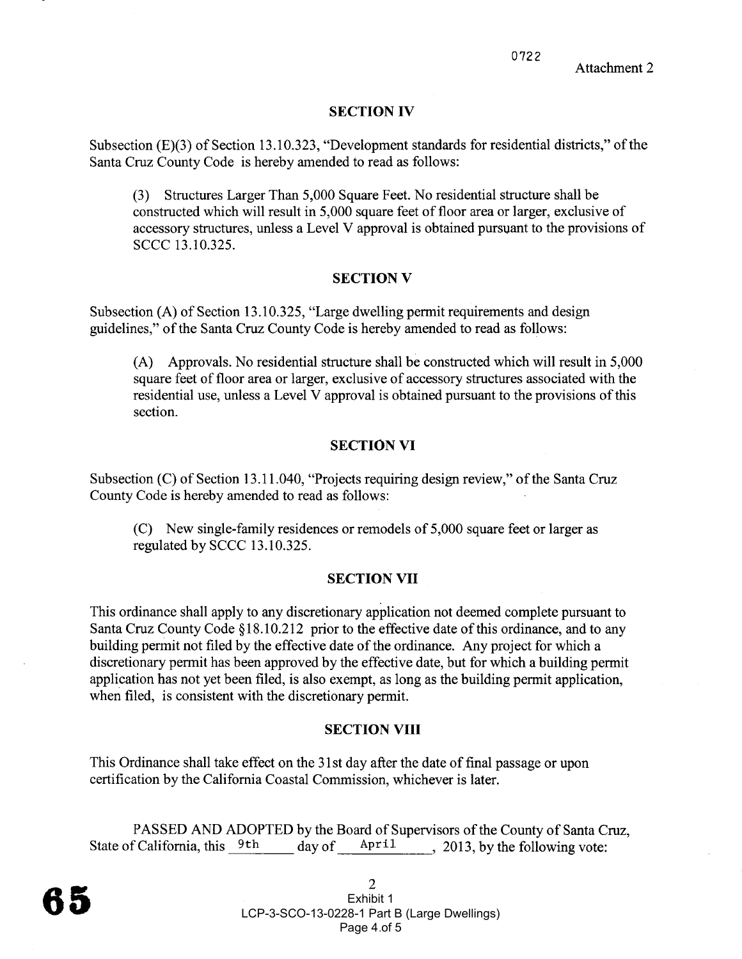## SECTION IV

Subsection (E)(3) of Section 13.10.323, "Development standards for residential districts," of the Santa Cruz County Code is hereby amended to read as follows:

(3) Structures Larger Than 5,000 Square Feet. No residential structure shall be constructed which will result in 5,000 square feet of floor area or larger, exclusive of accessory structures, unless a Level V approval is obtained pursuant to the provisions of SCCC 13.10.325.

## SECTION V

Subsection (A) of Section 13.10.325, "Large dwelling permit requirements and design guidelines," of the Santa Cruz County Code is hereby amended to read as follows:

(A) Approvals. No residential structure shall be constructed which wil result in 5,000 square feet of floor area or larger, exclusive of accessory structures associated with the residential use, unless a Level V approval is obtained pursuant to the provisions of this section.

### SECTION VI

Subsection (C) of Section 13.11.040, "Projects requiring design review," of the Santa Cruz County Code is hereby amended to read as follows:

(C) New single-family residences or remodels of 5,000 square feet or larger as regulated by SCCC 13.10.325.

### SECTION VII

This ordinance shall apply to any discretionary application not deemed complete pursuant to Santa Cruz County Code §18.10.212 prior to the effective date of this ordinance, and to any building permit not filed by the effective date of the ordinance. Any project for which a discretionary permit has been approved by the effective date, but for which a building permit application has not yet been filed, is also exempt, as long as the building permit application, when filed, is consistent with the discretionary permit.

### SECTION VIII

This Ordinance shall take effect on the 31 st day after the date of final passage or upon certification by the California Coastal Commission, whichever is later.

PASSED AND ADOPTED by the Board of Supervisors of the County of Santa Cruz, State of California, this  $9th$  day of  $April$ , 2013, by the following vote: